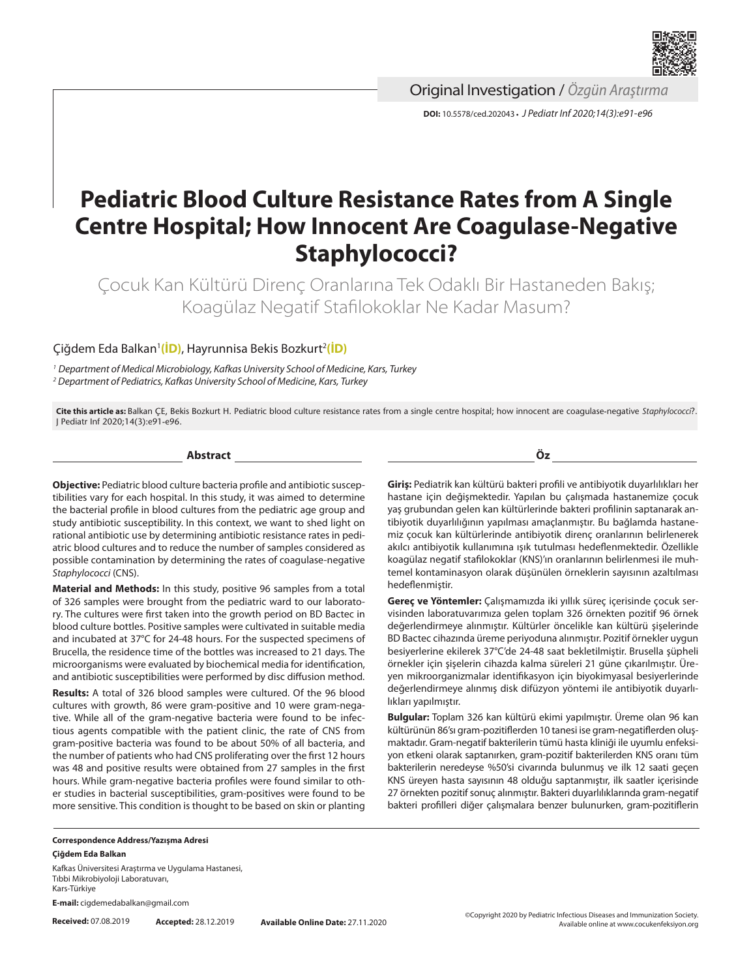

Original Investigation / *Özgün Araştırma*

**DOI:** 10.5578/ced.202043 **•** *J Pediatr Inf 2020;14(3):e91-e96*

# **Pediatric Blood Culture Resistance Rates from A Single Centre Hospital; How Innocent Are Coagulase-Negative Staphylococci?**

Çocuk Kan Kültürü Direnç Oranlarına Tek Odaklı Bir Hastaneden Bakış; Koagülaz Negatif Stafilokoklar Ne Kadar Masum?

## Çiğdem Eda Balkan1 **[\(İD\)](https://orcid.org/0000-0003-3922-7758)**, Hayrunnisa Bekis Bozkurt2 **[\(İD\)](https://orcid.org/0000-0001-8642-4872)**

*<sup>1</sup> Department of Medical Microbiology, Kafkas University School of Medicine, Kars, Turkey 2 Department of Pediatrics, Kafkas University School of Medicine, Kars, Turkey*

**Cite this article as:** Balkan ÇE, Bekis Bozkurt H. Pediatric blood culture resistance rates from a single centre hospital; how innocent are coagulase-negative *Staphylococci*?. J Pediatr Inf 2020;14(3):e91-e96.

**Abstract**

**Objective:** Pediatric blood culture bacteria profile and antibiotic susceptibilities vary for each hospital. In this study, it was aimed to determine the bacterial profile in blood cultures from the pediatric age group and study antibiotic susceptibility. In this context, we want to shed light on rational antibiotic use by determining antibiotic resistance rates in pediatric blood cultures and to reduce the number of samples considered as possible contamination by determining the rates of coagulase-negative *Staphylococci* (CNS).

**Material and Methods:** In this study, positive 96 samples from a total of 326 samples were brought from the pediatric ward to our laboratory. The cultures were first taken into the growth period on BD Bactec in blood culture bottles. Positive samples were cultivated in suitable media and incubated at 37°C for 24-48 hours. For the suspected specimens of Brucella, the residence time of the bottles was increased to 21 days. The microorganisms were evaluated by biochemical media for identification, and antibiotic susceptibilities were performed by disc diffusion method.

**Results:** A total of 326 blood samples were cultured. Of the 96 blood cultures with growth, 86 were gram-positive and 10 were gram-negative. While all of the gram-negative bacteria were found to be infectious agents compatible with the patient clinic, the rate of CNS from gram-positive bacteria was found to be about 50% of all bacteria, and the number of patients who had CNS proliferating over the first 12 hours was 48 and positive results were obtained from 27 samples in the first hours. While gram-negative bacteria profiles were found similar to other studies in bacterial susceptibilities, gram-positives were found to be more sensitive. This condition is thought to be based on skin or planting

**Öz**

**Giriş:** Pediatrik kan kültürü bakteri profili ve antibiyotik duyarlılıkları her hastane için değişmektedir. Yapılan bu çalışmada hastanemize çocuk yaş grubundan gelen kan kültürlerinde bakteri profilinin saptanarak antibiyotik duyarlılığının yapılması amaçlanmıştır. Bu bağlamda hastanemiz çocuk kan kültürlerinde antibiyotik direnç oranlarının belirlenerek akılcı antibiyotik kullanımına ışık tutulması hedeflenmektedir. Özellikle koagülaz negatif stafilokoklar (KNS)'ın oranlarının belirlenmesi ile muhtemel kontaminasyon olarak düşünülen örneklerin sayısının azaltılması hedeflenmiştir.

**Gereç ve Yöntemler:** Çalışmamızda iki yıllık süreç içerisinde çocuk servisinden laboratuvarımıza gelen toplam 326 örnekten pozitif 96 örnek değerlendirmeye alınmıştır. Kültürler öncelikle kan kültürü şişelerinde BD Bactec cihazında üreme periyoduna alınmıştır. Pozitif örnekler uygun besiyerlerine ekilerek 37°C'de 24-48 saat bekletilmiştir. Brusella şüpheli örnekler için şişelerin cihazda kalma süreleri 21 güne çıkarılmıştır. Üreyen mikroorganizmalar identifikasyon için biyokimyasal besiyerlerinde değerlendirmeye alınmış disk difüzyon yöntemi ile antibiyotik duyarlılıkları yapılmıştır.

**Bulgular:** Toplam 326 kan kültürü ekimi yapılmıştır. Üreme olan 96 kan kültürünün 86'sı gram-pozitiflerden 10 tanesi ise gram-negatiflerden oluşmaktadır. Gram-negatif bakterilerin tümü hasta kliniği ile uyumlu enfeksiyon etkeni olarak saptanırken, gram-pozitif bakterilerden KNS oranı tüm bakterilerin neredeyse %50'si civarında bulunmuş ve ilk 12 saati geçen KNS üreyen hasta sayısının 48 olduğu saptanmıştır, ilk saatler içerisinde 27 örnekten pozitif sonuç alınmıştır. Bakteri duyarlılıklarında gram-negatif bakteri profilleri diğer çalışmalara benzer bulunurken, gram-pozitiflerin

**Correspondence Address/Yazışma Adresi Çiğdem Eda Balkan**

Kafkas Üniversitesi Araştırma ve Uygulama Hastanesi, Tıbbi Mikrobiyoloji Laboratuvarı, Kars-Türkiye

**E-mail:** cigdemedabalkan@gmail.com

**Received:** 07.08.2019 **Accepted:** 28.12.2019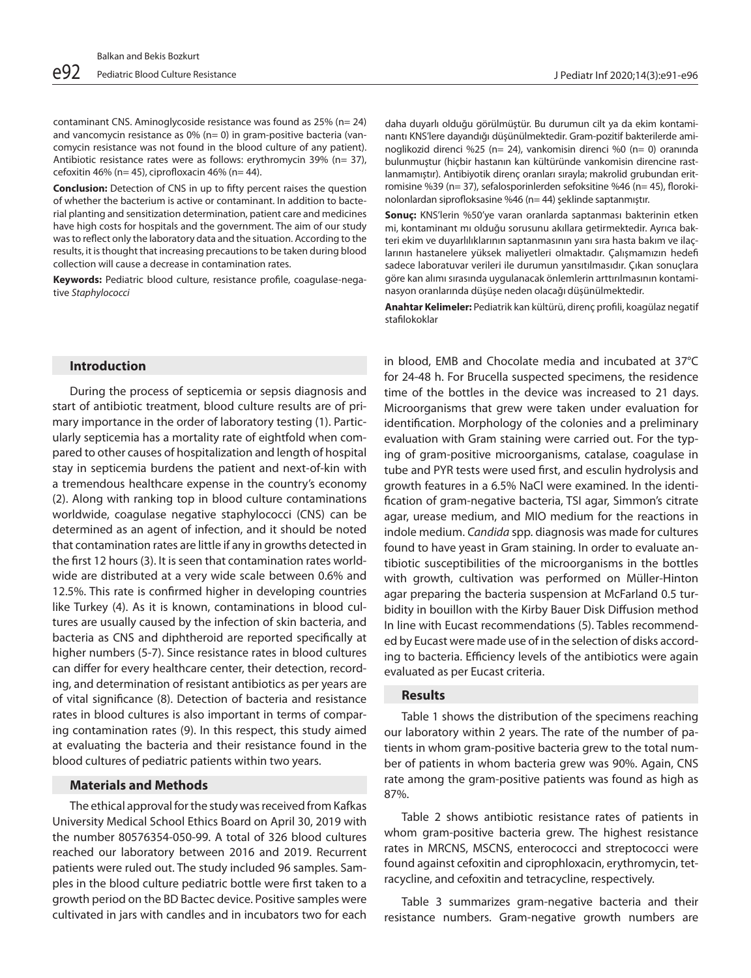contaminant CNS. Aminoglycoside resistance was found as 25% (n= 24) and vancomycin resistance as 0% (n= 0) in gram-positive bacteria (vancomycin resistance was not found in the blood culture of any patient). Antibiotic resistance rates were as follows: erythromycin 39% (n= 37), cefoxitin 46% (n= 45), ciprofloxacin 46% (n= 44).

**Conclusion:** Detection of CNS in up to fifty percent raises the question of whether the bacterium is active or contaminant. In addition to bacterial planting and sensitization determination, patient care and medicines have high costs for hospitals and the government. The aim of our study was to reflect only the laboratory data and the situation. According to the results, it is thought that increasing precautions to be taken during blood collection will cause a decrease in contamination rates.

**Keywords:** Pediatric blood culture, resistance profile, coagulase-negative *Staphylococci*

#### **Introduction**

During the process of septicemia or sepsis diagnosis and start of antibiotic treatment, blood culture results are of primary importance in the order of laboratory testing (1). Particularly septicemia has a mortality rate of eightfold when compared to other causes of hospitalization and length of hospital stay in septicemia burdens the patient and next-of-kin with a tremendous healthcare expense in the country's economy (2). Along with ranking top in blood culture contaminations worldwide, coagulase negative staphylococci (CNS) can be determined as an agent of infection, and it should be noted that contamination rates are little if any in growths detected in the first 12 hours (3). It is seen that contamination rates worldwide are distributed at a very wide scale between 0.6% and 12.5%. This rate is confirmed higher in developing countries like Turkey (4). As it is known, contaminations in blood cultures are usually caused by the infection of skin bacteria, and bacteria as CNS and diphtheroid are reported specifically at higher numbers (5-7). Since resistance rates in blood cultures can differ for every healthcare center, their detection, recording, and determination of resistant antibiotics as per years are of vital significance (8). Detection of bacteria and resistance rates in blood cultures is also important in terms of comparing contamination rates (9). In this respect, this study aimed at evaluating the bacteria and their resistance found in the blood cultures of pediatric patients within two years.

### **Materials and Methods**

The ethical approval for the study was received from Kafkas University Medical School Ethics Board on April 30, 2019 with the number 80576354-050-99. A total of 326 blood cultures reached our laboratory between 2016 and 2019. Recurrent patients were ruled out. The study included 96 samples. Samples in the blood culture pediatric bottle were first taken to a growth period on the BD Bactec device. Positive samples were cultivated in jars with candles and in incubators two for each

daha duyarlı olduğu görülmüştür. Bu durumun cilt ya da ekim kontaminantı KNS'lere dayandığı düşünülmektedir. Gram-pozitif bakterilerde aminoglikozid direnci %25 (n= 24), vankomisin direnci %0 (n= 0) oranında bulunmuştur (hiçbir hastanın kan kültüründe vankomisin direncine rastlanmamıştır). Antibiyotik direnç oranları sırayla; makrolid grubundan eritromisine %39 (n= 37), sefalosporinlerden sefoksitine %46 (n= 45), florokinolonlardan siprofloksasine %46 (n= 44) şeklinde saptanmıştır.

**Sonuç:** KNS'lerin %50'ye varan oranlarda saptanması bakterinin etken mi, kontaminant mı olduğu sorusunu akıllara getirmektedir. Ayrıca bakteri ekim ve duyarlılıklarının saptanmasının yanı sıra hasta bakım ve ilaçlarının hastanelere yüksek maliyetleri olmaktadır. Çalışmamızın hedefi sadece laboratuvar verileri ile durumun yansıtılmasıdır. Çıkan sonuçlara göre kan alımı sırasında uygulanacak önlemlerin arttırılmasının kontaminasyon oranlarında düşüşe neden olacağı düşünülmektedir.

**Anahtar Kelimeler:** Pediatrik kan kültürü, direnç profili, koagülaz negatif stafilokoklar

in blood, EMB and Chocolate media and incubated at 37°C for 24-48 h. For Brucella suspected specimens, the residence time of the bottles in the device was increased to 21 days. Microorganisms that grew were taken under evaluation for identification. Morphology of the colonies and a preliminary evaluation with Gram staining were carried out. For the typing of gram-positive microorganisms, catalase, coagulase in tube and PYR tests were used first, and esculin hydrolysis and growth features in a 6.5% NaCl were examined. In the identification of gram-negative bacteria, TSI agar, Simmon's citrate agar, urease medium, and MIO medium for the reactions in indole medium. *Candida* spp. diagnosis was made for cultures found to have yeast in Gram staining. In order to evaluate antibiotic susceptibilities of the microorganisms in the bottles with growth, cultivation was performed on Müller-Hinton agar preparing the bacteria suspension at McFarland 0.5 turbidity in bouillon with the Kirby Bauer Disk Diffusion method In line with Eucast recommendations (5). Tables recommended by Eucast were made use of in the selection of disks according to bacteria. Efficiency levels of the antibiotics were again evaluated as per Eucast criteria.

## **Results**

Table 1 shows the distribution of the specimens reaching our laboratory within 2 years. The rate of the number of patients in whom gram-positive bacteria grew to the total number of patients in whom bacteria grew was 90%. Again, CNS rate among the gram-positive patients was found as high as 87%.

Table 2 shows antibiotic resistance rates of patients in whom gram-positive bacteria grew. The highest resistance rates in MRCNS, MSCNS, enterococci and streptococci were found against cefoxitin and ciprophloxacin, erythromycin, tetracycline, and cefoxitin and tetracycline, respectively.

Table 3 summarizes gram-negative bacteria and their resistance numbers. Gram-negative growth numbers are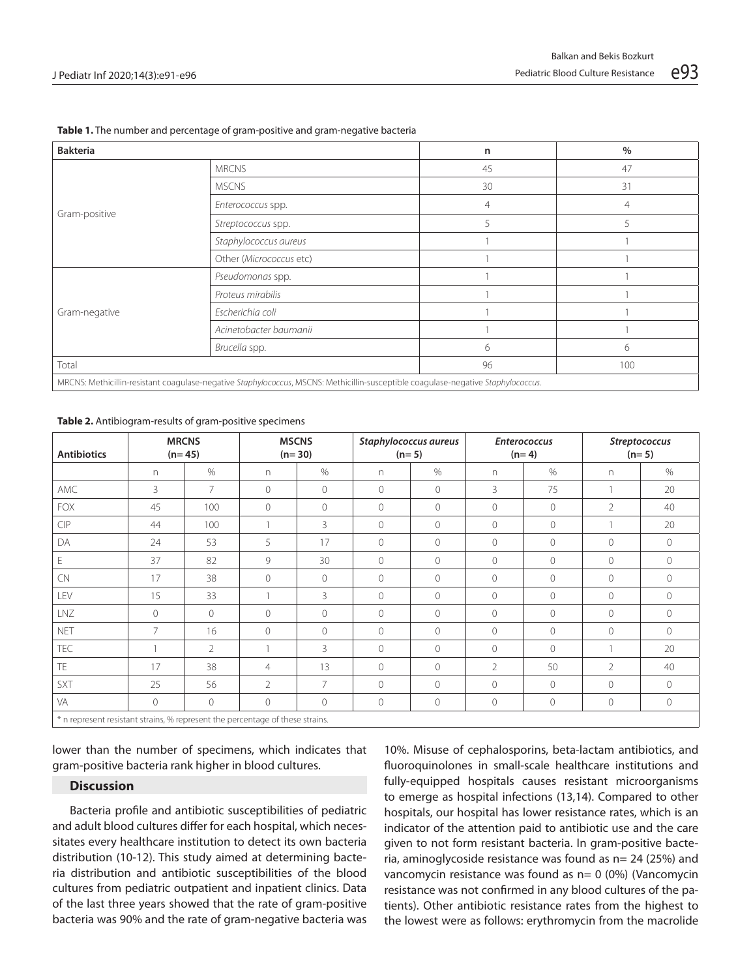| <b>Bakteria</b>                                                                                                                   |                                                                                                             | n              | $\%$ |  |  |
|-----------------------------------------------------------------------------------------------------------------------------------|-------------------------------------------------------------------------------------------------------------|----------------|------|--|--|
|                                                                                                                                   | <b>MRCNS</b>                                                                                                | 45             | 47   |  |  |
|                                                                                                                                   | <b>MSCNS</b><br>Enterococcus spp.<br>Streptococcus spp.<br>Staphylococcus aureus<br>Other (Micrococcus etc) | 30             | 31   |  |  |
| Gram-positive                                                                                                                     |                                                                                                             | $\overline{4}$ | 4    |  |  |
|                                                                                                                                   |                                                                                                             | 5              | 5    |  |  |
|                                                                                                                                   |                                                                                                             |                |      |  |  |
|                                                                                                                                   |                                                                                                             |                |      |  |  |
|                                                                                                                                   | Pseudomonas spp.                                                                                            | 6<br>96        |      |  |  |
|                                                                                                                                   | Proteus mirabilis                                                                                           |                |      |  |  |
| Gram-negative                                                                                                                     | Escherichia coli                                                                                            |                |      |  |  |
|                                                                                                                                   | Acinetobacter baumanii                                                                                      |                |      |  |  |
|                                                                                                                                   | Brucella spp.                                                                                               |                | 6    |  |  |
| Total<br>100                                                                                                                      |                                                                                                             |                |      |  |  |
| MRCNS: Methicillin-resistant coagulase-negative Staphylococcus, MSCNS: Methicillin-susceptible coagulase-negative Staphylococcus. |                                                                                                             |                |      |  |  |

#### **Table 2.** Antibiogram-results of gram-positive specimens

| <b>Antibiotics</b>                                                            |          | <b>MRCNS</b><br>$(n=45)$ |                | <b>MSCNS</b><br>$(n=30)$ |                | Staphylococcus aureus<br>$(n=5)$ |                | <b>Enterococcus</b><br>$(n=4)$ |                | Streptococcus<br>$(n=5)$ |
|-------------------------------------------------------------------------------|----------|--------------------------|----------------|--------------------------|----------------|----------------------------------|----------------|--------------------------------|----------------|--------------------------|
|                                                                               | n.       | $\%$                     | n              | $\%$                     | n              | $\%$                             | n.             | $\%$                           | n              | $\%$                     |
| AMC                                                                           | 3        | $\overline{7}$           | $\Omega$       | $\mathcal{O}$            | $\overline{0}$ | $\mathbf{0}$                     | 3              | 75                             |                | 20                       |
| <b>FOX</b>                                                                    | 45       | 100                      | $\Omega$       | $\mathbf{0}$             | $\overline{0}$ | $\mathbf{0}$                     | $\Omega$       | $\circ$                        | $\overline{2}$ | 40                       |
| CIP                                                                           | 44       | 100                      |                | 3                        | $\circ$        | 0                                | $\Omega$       | $\mathcal{O}$                  |                | 20                       |
| DA                                                                            | 24       | 53                       | 5              | 17                       | $\circ$        | $\overline{0}$                   | $\Omega$       | $\circ$                        | $\circ$        | $\circ$                  |
| E                                                                             | 37       | 82                       | 9              | 30                       | $\Omega$       | $\overline{0}$                   | $\Omega$       | $\Omega$                       | $\circ$        | $\circ$                  |
| CN                                                                            | 17       | 38                       | $\circ$        | $\mathbf{0}$             | 0              | 0                                | 0              | $\mathbf 0$                    | $\mathbf 0$    | $\circ$                  |
| LEV                                                                           | 15       | 33                       |                | 3                        | $\Omega$       | $\overline{0}$                   | $\Omega$       | $\bigcirc$                     | $\mathcal{O}$  | $\circ$                  |
| LNZ                                                                           | $\Omega$ | $\circ$                  | $\bigcirc$     | $\Omega$                 | $\Omega$       | $\overline{0}$                   | $\Omega$       | $\Omega$                       | $\mathbf{0}$   | $\Omega$                 |
| <b>NET</b>                                                                    | 7        | 16                       | $\Omega$       | $\Omega$                 | $\Omega$       | $\overline{0}$                   | $\Omega$       | $\Omega$                       | $\Omega$       | $\Omega$                 |
| TEC                                                                           |          | $\overline{2}$           |                | 3                        | 0              | $\overline{0}$                   | $\circ$        | $\mathbf{0}$                   |                | 20                       |
| <b>TE</b>                                                                     | 17       | 38                       | $\overline{4}$ | 13                       | $\Omega$       | $\overline{0}$                   | $\overline{2}$ | 50                             | $\overline{2}$ | 40                       |
| SXT                                                                           | 25       | 56                       | $\mathcal{P}$  | $\overline{7}$           | $\Omega$       | $\Omega$                         | $\Omega$       | $\Omega$                       | $\Omega$       | $\Omega$                 |
| VA                                                                            | $\Omega$ | $\circ$                  | $\Omega$       | $\circ$                  | 0              | $\mathcal O$                     | $\circ$        | $\mathbf 0$                    | $\mathbb O$    | $\circ$                  |
| * n represent resistant strains, % represent the percentage of these strains. |          |                          |                |                          |                |                                  |                |                                |                |                          |

lower than the number of specimens, which indicates that gram-positive bacteria rank higher in blood cultures.

## **Discussion**

Bacteria profile and antibiotic susceptibilities of pediatric and adult blood cultures differ for each hospital, which necessitates every healthcare institution to detect its own bacteria distribution (10-12). This study aimed at determining bacteria distribution and antibiotic susceptibilities of the blood cultures from pediatric outpatient and inpatient clinics. Data of the last three years showed that the rate of gram-positive bacteria was 90% and the rate of gram-negative bacteria was

10%. Misuse of cephalosporins, beta-lactam antibiotics, and fluoroquinolones in small-scale healthcare institutions and fully-equipped hospitals causes resistant microorganisms to emerge as hospital infections (13,14). Compared to other hospitals, our hospital has lower resistance rates, which is an indicator of the attention paid to antibiotic use and the care given to not form resistant bacteria. In gram-positive bacteria, aminoglycoside resistance was found as n= 24 (25%) and vancomycin resistance was found as n= 0 (0%) (Vancomycin resistance was not confirmed in any blood cultures of the patients). Other antibiotic resistance rates from the highest to the lowest were as follows: erythromycin from the macrolide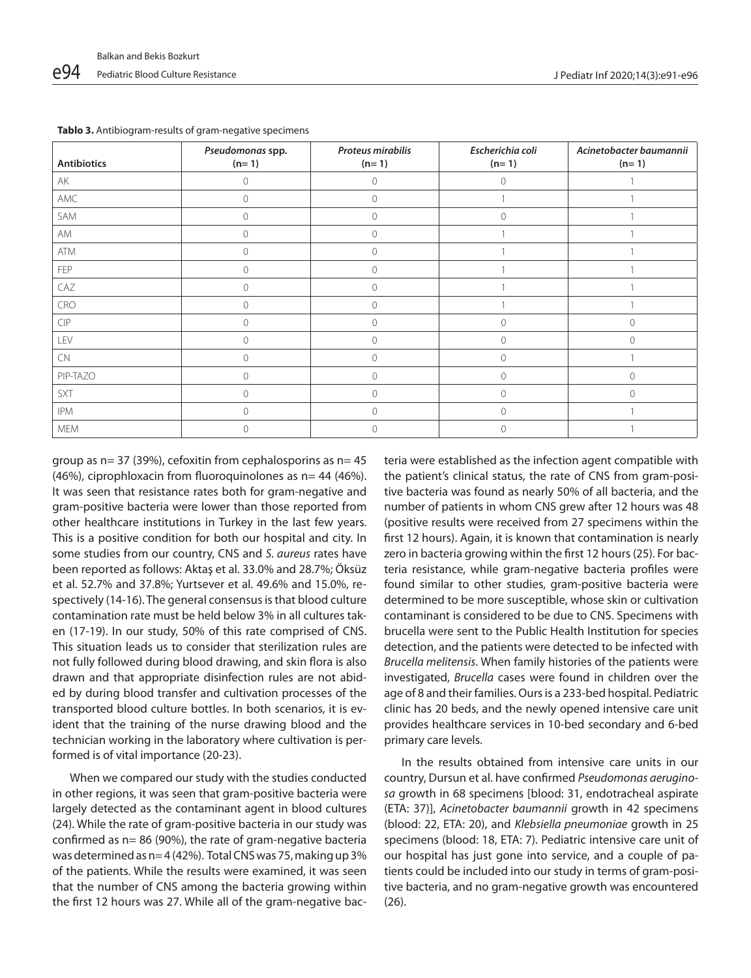| <b>Antibiotics</b>                                                       | Pseudomonas spp.<br>$(n=1)$ | <b>Proteus mirabilis</b><br>$(n=1)$ | Escherichia coli<br>$(n=1)$ | Acinetobacter baumannii<br>$(n=1)$ |
|--------------------------------------------------------------------------|-----------------------------|-------------------------------------|-----------------------------|------------------------------------|
| AK                                                                       | $\circ$                     | $\Omega$                            | $\circ$                     |                                    |
| AMC                                                                      | $\circ$                     | $\circ$                             |                             |                                    |
| SAM                                                                      | $\mathbf{0}$                | $\Omega$                            | $\Omega$                    |                                    |
| AM                                                                       | $\mathbf 0$                 | 0                                   |                             |                                    |
| ATM                                                                      | $\mathbf{0}$                | $\Omega$                            |                             |                                    |
| FEP                                                                      | $\circ$                     | $\Omega$                            |                             |                                    |
| CAZ                                                                      | $\mathbf{0}$                | $\Omega$                            |                             |                                    |
| <b>CRO</b>                                                               | $\mathbf{0}$                | $\Omega$                            |                             |                                    |
| $\ensuremath{\mathop{\mathsf{CI}}}\xspace\ensuremath{\mathsf{P}}\xspace$ | $\mathbf{0}$                | 0                                   | $\circ$                     | $\mathbf{0}$                       |
| LEV                                                                      | $\overline{0}$              | $\Omega$                            | $\circ$                     | $\bigcirc$                         |
| <b>CN</b>                                                                | $\overline{0}$              | $\Omega$                            | $\circ$                     |                                    |
| PIP-TAZO                                                                 | $\overline{0}$              | $\Omega$                            | $\Omega$                    | $\Omega$                           |
| SXT                                                                      | $\mathbf{0}$                | $\circ$                             | $\circ$                     | $\circ$                            |
| <b>IPM</b>                                                               | $\overline{0}$              | $\Omega$                            | $\Omega$                    |                                    |
| <b>MEM</b>                                                               | $\mathbf 0$                 | $\Omega$                            | $\circ$                     |                                    |

**Tablo 3.** Antibiogram-results of gram-negative specimens

group as  $n= 37$  (39%), cefoxitin from cephalosporins as  $n= 45$  $(46%)$ , ciprophloxacin from fluoroquinolones as  $n= 44$  (46%). It was seen that resistance rates both for gram-negative and gram-positive bacteria were lower than those reported from other healthcare institutions in Turkey in the last few years. This is a positive condition for both our hospital and city. In some studies from our country, CNS and *S. aureus* rates have been reported as follows: Aktaş et al. 33.0% and 28.7%; Öksüz et al. 52.7% and 37.8%; Yurtsever et al. 49.6% and 15.0%, respectively (14-16). The general consensus is that blood culture contamination rate must be held below 3% in all cultures taken (17-19). In our study, 50% of this rate comprised of CNS. This situation leads us to consider that sterilization rules are not fully followed during blood drawing, and skin flora is also drawn and that appropriate disinfection rules are not abided by during blood transfer and cultivation processes of the transported blood culture bottles. In both scenarios, it is evident that the training of the nurse drawing blood and the technician working in the laboratory where cultivation is performed is of vital importance (20-23).

When we compared our study with the studies conducted in other regions, it was seen that gram-positive bacteria were largely detected as the contaminant agent in blood cultures (24). While the rate of gram-positive bacteria in our study was confirmed as n= 86 (90%), the rate of gram-negative bacteria was determined as n= 4 (42%). Total CNS was 75, making up 3% of the patients. While the results were examined, it was seen that the number of CNS among the bacteria growing within the first 12 hours was 27. While all of the gram-negative bacteria were established as the infection agent compatible with the patient's clinical status, the rate of CNS from gram-positive bacteria was found as nearly 50% of all bacteria, and the number of patients in whom CNS grew after 12 hours was 48 (positive results were received from 27 specimens within the first 12 hours). Again, it is known that contamination is nearly zero in bacteria growing within the first 12 hours (25). For bacteria resistance, while gram-negative bacteria profiles were found similar to other studies, gram-positive bacteria were determined to be more susceptible, whose skin or cultivation contaminant is considered to be due to CNS. Specimens with brucella were sent to the Public Health Institution for species detection, and the patients were detected to be infected with *Brucella melitensis*. When family histories of the patients were investigated, *Brucella* cases were found in children over the age of 8 and their families. Ours is a 233-bed hospital. Pediatric clinic has 20 beds, and the newly opened intensive care unit provides healthcare services in 10-bed secondary and 6-bed primary care levels.

In the results obtained from intensive care units in our country, Dursun et al. have confirmed *Pseudomonas aeruginosa* growth in 68 specimens [blood: 31, endotracheal aspirate (ETA: 37)], *Acinetobacter baumannii* growth in 42 specimens (blood: 22, ETA: 20), and *Klebsiella pneumoniae* growth in 25 specimens (blood: 18, ETA: 7). Pediatric intensive care unit of our hospital has just gone into service, and a couple of patients could be included into our study in terms of gram-positive bacteria, and no gram-negative growth was encountered (26).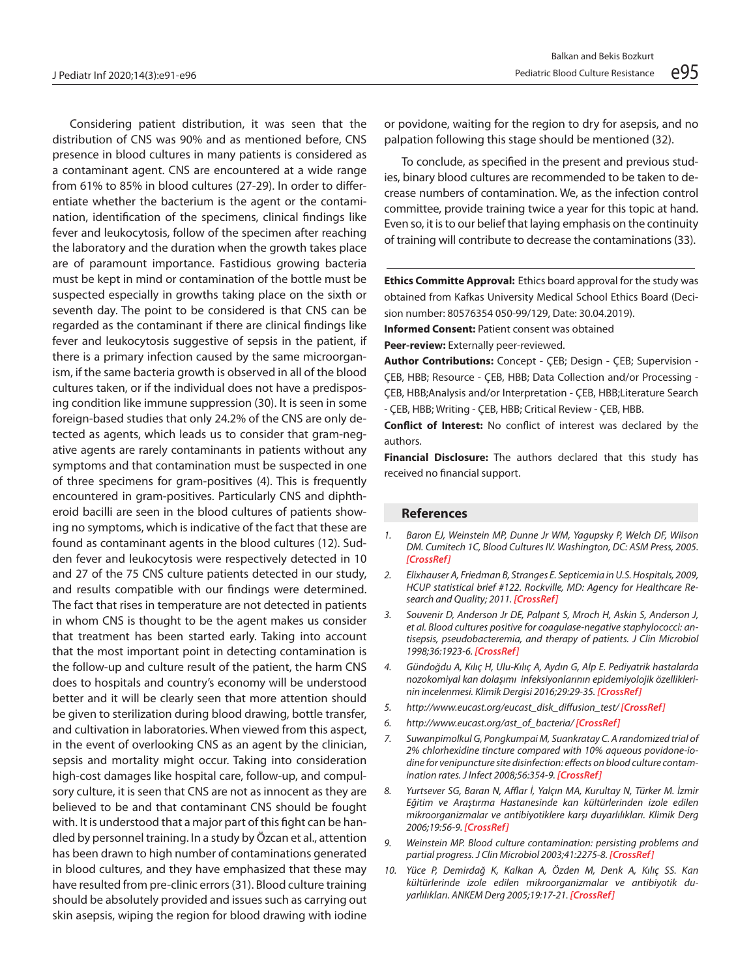Considering patient distribution, it was seen that the distribution of CNS was 90% and as mentioned before, CNS presence in blood cultures in many patients is considered as a contaminant agent. CNS are encountered at a wide range from 61% to 85% in blood cultures (27-29). In order to differentiate whether the bacterium is the agent or the contamination, identification of the specimens, clinical findings like fever and leukocytosis, follow of the specimen after reaching the laboratory and the duration when the growth takes place are of paramount importance. Fastidious growing bacteria must be kept in mind or contamination of the bottle must be suspected especially in growths taking place on the sixth or seventh day. The point to be considered is that CNS can be regarded as the contaminant if there are clinical findings like fever and leukocytosis suggestive of sepsis in the patient, if there is a primary infection caused by the same microorganism, if the same bacteria growth is observed in all of the blood cultures taken, or if the individual does not have a predisposing condition like immune suppression (30). It is seen in some foreign-based studies that only 24.2% of the CNS are only detected as agents, which leads us to consider that gram-negative agents are rarely contaminants in patients without any symptoms and that contamination must be suspected in one of three specimens for gram-positives (4). This is frequently encountered in gram-positives. Particularly CNS and diphtheroid bacilli are seen in the blood cultures of patients showing no symptoms, which is indicative of the fact that these are found as contaminant agents in the blood cultures (12). Sudden fever and leukocytosis were respectively detected in 10 and 27 of the 75 CNS culture patients detected in our study, and results compatible with our findings were determined. The fact that rises in temperature are not detected in patients in whom CNS is thought to be the agent makes us consider that treatment has been started early. Taking into account that the most important point in detecting contamination is the follow-up and culture result of the patient, the harm CNS does to hospitals and country's economy will be understood better and it will be clearly seen that more attention should be given to sterilization during blood drawing, bottle transfer, and cultivation in laboratories. When viewed from this aspect, in the event of overlooking CNS as an agent by the clinician, sepsis and mortality might occur. Taking into consideration high-cost damages like hospital care, follow-up, and compulsory culture, it is seen that CNS are not as innocent as they are believed to be and that contaminant CNS should be fought with. It is understood that a major part of this fight can be handled by personnel training. In a study by Özcan et al., attention has been drawn to high number of contaminations generated in blood cultures, and they have emphasized that these may have resulted from pre-clinic errors (31). Blood culture training should be absolutely provided and issues such as carrying out skin asepsis, wiping the region for blood drawing with iodine or povidone, waiting for the region to dry for asepsis, and no palpation following this stage should be mentioned (32).

To conclude, as specified in the present and previous studies, binary blood cultures are recommended to be taken to decrease numbers of contamination. We, as the infection control committee, provide training twice a year for this topic at hand. Even so, it is to our belief that laying emphasis on the continuity of training will contribute to decrease the contaminations (33).

**Ethics Committe Approval:** Ethics board approval for the study was obtained from Kafkas University Medical School Ethics Board (Decision number: 80576354 050-99/129, Date: 30.04.2019).

**Informed Consent: Patient consent was obtained** 

**Peer-review:** Externally peer-reviewed.

**Author Contributions:** Concept - ÇEB; Design - ÇEB; Supervision - ÇEB, HBB; Resource - ÇEB, HBB; Data Collection and/or Processing - ÇEB, HBB;Analysis and/or Interpretation - ÇEB, HBB;Literature Search - ÇEB, HBB; Writing - ÇEB, HBB; Critical Review - ÇEB, HBB.

**Conflict of Interest:** No conflict of interest was declared by the authors.

**Financial Disclosure:** The authors declared that this study has received no financial support.

#### **References**

 $\overline{a}$ 

- *1. Baron EJ, Weinstein MP, Dunne Jr WM, Yagupsky P, Welch DF, Wilson DM. Cumitech 1C, Blood Cultures IV. Washington, DC: ASM Press, 2005. [CrossRef]*
- *2. Elixhauser A, Friedman B, Stranges E. Septicemia in U.S. Hospitals, 2009, HCUP statistical brief #122. Rockville, MD: Agency for Healthcare Research and Quality; 2011. [CrossRef]*
- *3. Souvenir D, Anderson Jr DE, Palpant S, Mroch H, Askin S, Anderson J, et al. Blood cultures positive for coagulase-negative staphylococci: antisepsis, pseudobacteremia, and therapy of patients. J Clin Microbiol 1998;36:1923-6. [\[CrossRef\]](https://doi.org/10.1128/jcm.36.7.1923-1926.1998)*
- *4. Gündoğdu A, Kılıç H, Ulu-Kılıç A, Aydın G, Alp E. Pediyatrik hastalarda nozokomiyal kan dolaşımı infeksiyonlarının epidemiyolojik özelliklerinin incelenmesi. Klimik Dergisi 2016;29:29-35. [\[CrossRef\]](https://doi.org/10.5152/kd.2016.07)*
- *5. http://www.eucast.org/eucast\_disk\_diffusion\_test/ [CrossRef]*
- *6. http://www.eucast.org/ast\_of\_bacteria/ [CrossRef]*
- *7. Suwanpimolkul G, Pongkumpai M, Suankratay C. A randomized trial of 2% chlorhexidine tincture compared with 10% aqueous povidone-iodine for venipuncture site disinfection: effects on blood culture contamination rates. J Infect 2008;56:354-9. [\[CrossRef\]](https://doi.org/10.1016/j.jinf.2008.03.001)*
- *8. Yurtsever SG, Baran N, Afflar İ, Yalçın MA, Kurultay N, Türker M. İzmir Eğitim ve Araştırma Hastanesinde kan kültürlerinden izole edilen mikroorganizmalar ve antibiyotiklere karşı duyarlılıkları. Klimik Derg 2006;19:56-9. [CrossRef]*
- *9. Weinstein MP. Blood culture contamination: persisting problems and partial progress. J Clin Microbiol 2003;41:2275-8. [\[CrossRef\]](https://doi.org/10.1128/jcm.41.6.2275-2278.2003)*
- *10. Yüce P, Demirdağ K, Kalkan A, Özden M, Denk A, Kılıç SS. Kan kültürlerinde izole edilen mikroorganizmalar ve antibiyotik duyarlılıkları. ANKEM Derg 2005;19:17-21. [CrossRef]*